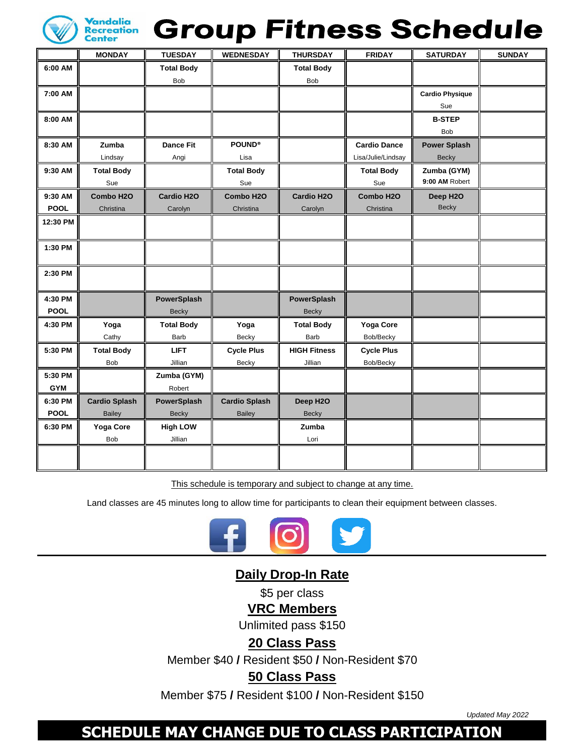

# **Group Fitness Schedule**

|             | <b>MONDAY</b>         | <b>TUESDAY</b>     | <b>WEDNESDAY</b>     | <b>THURSDAY</b>     | <b>FRIDAY</b>       | <b>SATURDAY</b>        | <b>SUNDAY</b> |
|-------------|-----------------------|--------------------|----------------------|---------------------|---------------------|------------------------|---------------|
| 6:00 AM     |                       | <b>Total Body</b>  |                      | <b>Total Body</b>   |                     |                        |               |
|             |                       | Bob                |                      | Bob                 |                     |                        |               |
| 7:00 AM     |                       |                    |                      |                     |                     | <b>Cardio Physique</b> |               |
|             |                       |                    |                      |                     |                     | Sue                    |               |
| 8:00 AM     |                       |                    |                      |                     |                     | <b>B-STEP</b>          |               |
|             |                       |                    |                      |                     |                     | <b>Bob</b>             |               |
| 8:30 AM     | Zumba                 | <b>Dance Fit</b>   | <b>POUND®</b>        |                     | <b>Cardio Dance</b> | <b>Power Splash</b>    |               |
|             | Lindsay               | Angi               | Lisa                 |                     | Lisa/Julie/Lindsay  | <b>Becky</b>           |               |
| 9:30 AM     | <b>Total Body</b>     |                    | <b>Total Body</b>    |                     | <b>Total Body</b>   | Zumba (GYM)            |               |
|             | Sue                   |                    | Sue                  |                     | Sue                 | 9:00 AM Robert         |               |
| 9:30 AM     | Combo H <sub>20</sub> | Cardio H2O         | Combo H2O            | <b>Cardio H2O</b>   | Combo H2O           | Deep H2O               |               |
| <b>POOL</b> | Christina             | Carolyn            | Christina            | Carolyn             | Christina           | <b>Becky</b>           |               |
| 12:30 PM    |                       |                    |                      |                     |                     |                        |               |
|             |                       |                    |                      |                     |                     |                        |               |
| 1:30 PM     |                       |                    |                      |                     |                     |                        |               |
|             |                       |                    |                      |                     |                     |                        |               |
| 2:30 PM     |                       |                    |                      |                     |                     |                        |               |
|             |                       |                    |                      |                     |                     |                        |               |
| 4:30 PM     |                       | PowerSplash        |                      | PowerSplash         |                     |                        |               |
| <b>POOL</b> |                       | <b>Becky</b>       |                      | <b>Becky</b>        |                     |                        |               |
| 4:30 PM     | Yoga                  | <b>Total Body</b>  | Yoga                 | <b>Total Body</b>   | Yoga Core           |                        |               |
|             | Cathy                 | Barb               | Becky                | Barb                | Bob/Becky           |                        |               |
| 5:30 PM     | <b>Total Body</b>     | <b>LIFT</b>        | <b>Cycle Plus</b>    | <b>HIGH Fitness</b> | <b>Cycle Plus</b>   |                        |               |
|             | Bob                   | Jillian            | Becky                | Jillian             | Bob/Becky           |                        |               |
| 5:30 PM     |                       | Zumba (GYM)        |                      |                     |                     |                        |               |
| <b>GYM</b>  |                       | Robert             |                      |                     |                     |                        |               |
| 6:30 PM     | <b>Cardio Splash</b>  | <b>PowerSplash</b> | <b>Cardio Splash</b> | Deep H2O            |                     |                        |               |
| <b>POOL</b> | <b>Bailey</b>         | <b>Becky</b>       | <b>Bailey</b>        | <b>Becky</b>        |                     |                        |               |
| 6:30 PM     | Yoga Core             | <b>High LOW</b>    |                      | Zumba               |                     |                        |               |
|             | Bob                   | Jillian            |                      | Lori                |                     |                        |               |
|             |                       |                    |                      |                     |                     |                        |               |
|             |                       |                    |                      |                     |                     |                        |               |

This schedule is temporary and subject to change at any time.

Land classes are 45 minutes long to allow time for participants to clean their equipment between classes.



## **Daily Drop-In Rate**

\$5 per class

**VRC Members**

Unlimited pass \$150

**20 Class Pass**

Member \$40 **/** Resident \$50 **/** Non-Resident \$70

## **50 Class Pass**

Member \$75 **/** Resident \$100 **/** Non-Resident \$150

*Updated May 2022*

# **SCHEDULE MAY CHANGE DUE TO CLASS PARTICIPATION**